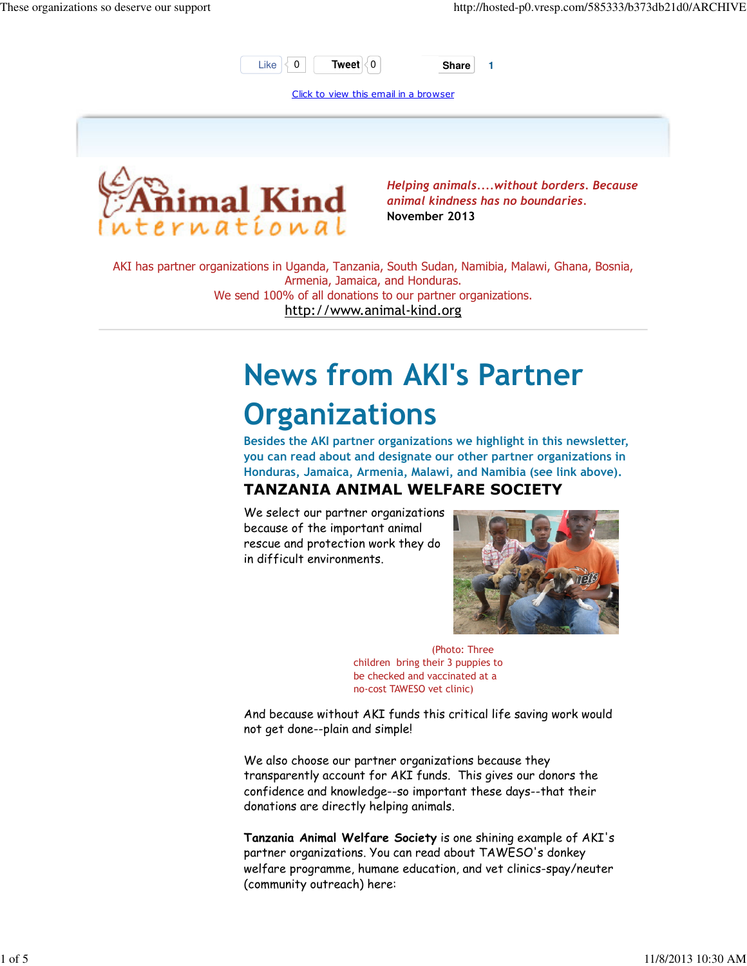

Click to view this email in a browser



Helping animals....without borders. Because animal kindness has no boundaries. November 2013

AKI has partner organizations in Uganda, Tanzania, South Sudan, Namibia, Malawi, Ghana, Bosnia, Armenia, Jamaica, and Honduras. We send 100% of all donations to our partner organizations. http://www.animal-kind.org

# News from AKI's Partner **Organizations**

Besides the AKI partner organizations we highlight in this newsletter, you can read about and designate our other partner organizations in Honduras, Jamaica, Armenia, Malawi, and Namibia (see link above). TANZANIA ANIMAL WELFARE SOCIETY

We select our partner organizations because of the important animal rescue and protection work they do in difficult environments.



 (Photo: Three children bring their 3 puppies to be checked and vaccinated at a no-cost TAWESO vet clinic)

And because without AKI funds this critical life saving work would not get done--plain and simple!

We also choose our partner organizations because they transparently account for AKI funds. This gives our donors the confidence and knowledge--so important these days--that their donations are directly helping animals.

Tanzania Animal Welfare Society is one shining example of AKI's partner organizations. You can read about TAWESO's donkey welfare programme, humane education, and vet clinics-spay/neuter (community outreach) here: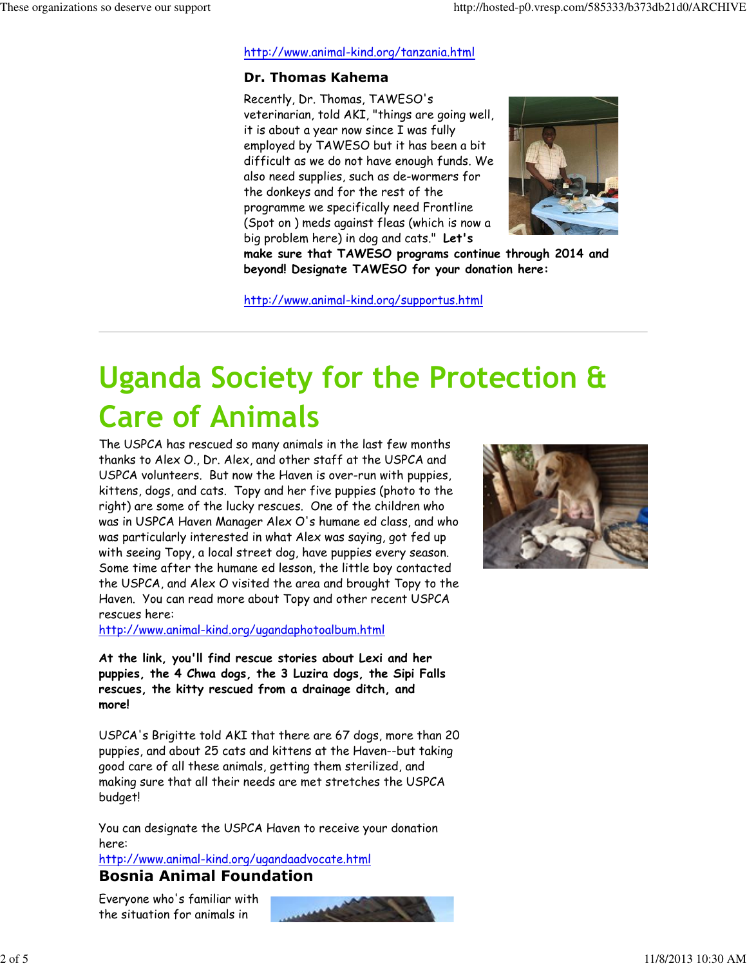#### http://www.animal-kind.org/tanzania.html

### Dr. Thomas Kahema

Recently, Dr. Thomas, TAWESO's veterinarian, told AKI, "things are going well, it is about a year now since I was fully employed by TAWESO but it has been a bit difficult as we do not have enough funds. We also need supplies, such as de-wormers for the donkeys and for the rest of the programme we specifically need Frontline (Spot on ) meds against fleas (which is now a big problem here) in dog and cats." Let's



make sure that TAWESO programs continue through 2014 and beyond! Designate TAWESO for your donation here:

http://www.animal-kind.org/supportus.html

# Uganda Society for the Protection & Care of Animals

The USPCA has rescued so many animals in the last few months thanks to Alex O., Dr. Alex, and other staff at the USPCA and USPCA volunteers. But now the Haven is over-run with puppies, kittens, dogs, and cats. Topy and her five puppies (photo to the right) are some of the lucky rescues. One of the children who was in USPCA Haven Manager Alex O's humane ed class, and who was particularly interested in what Alex was saying, got fed up with seeing Topy, a local street dog, have puppies every season. Some time after the humane ed lesson, the little boy contacted the USPCA, and Alex O visited the area and brought Topy to the Haven. You can read more about Topy and other recent USPCA rescues here:

http://www.animal-kind.org/ugandaphotoalbum.html

At the link, you'll find rescue stories about Lexi and her puppies, the 4 Chwa dogs, the 3 Luzira dogs, the Sipi Falls rescues, the kitty rescued from a drainage ditch, and more!

USPCA's Brigitte told AKI that there are 67 dogs, more than 20 puppies, and about 25 cats and kittens at the Haven--but taking good care of all these animals, getting them sterilized, and making sure that all their needs are met stretches the USPCA budget!

You can designate the USPCA Haven to receive your donation here:

http://www.animal-kind.org/ugandaadvocate.html

### Bosnia Animal Foundation

Everyone who's familiar with the situation for animals in



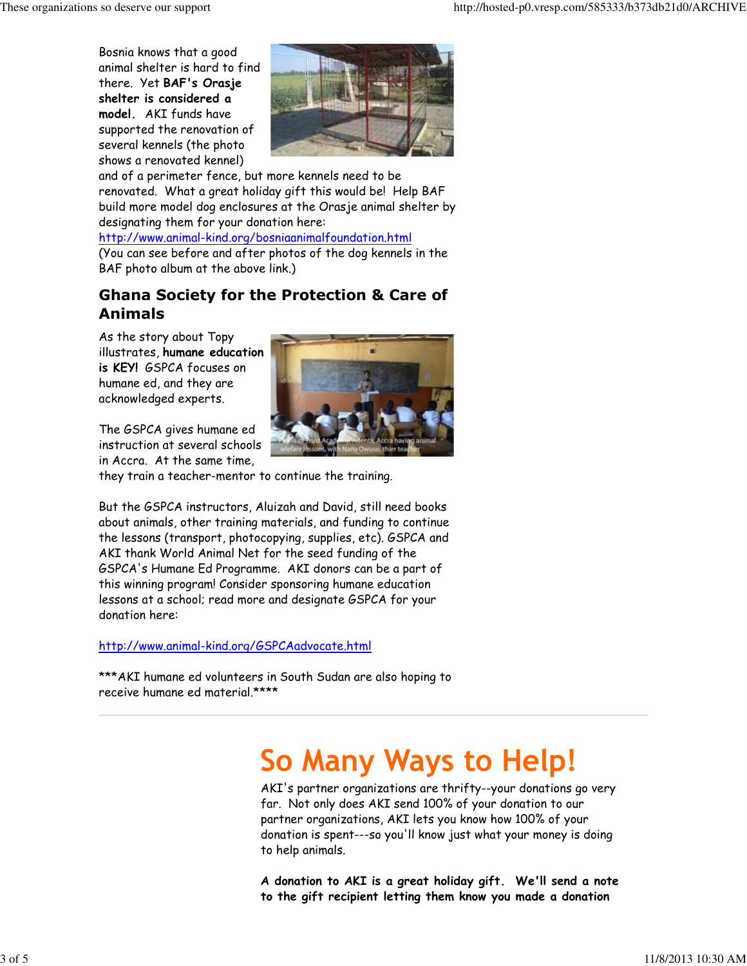Bosnia knows that a good animal shelter is hard to find there. Yet BAF's Orasje shelter is considered a model. AKI funds have supported the renovation of several kennels (the photo shows a renovated kennel)



and of a perimeter fence, but more kennels need to be renovated. What a great holiday gift this would be! Help BAF build more model dog enclosures at the Orasje animal shelter by designating them for your donation here:

http://www.animal-kind.org/bosniaanimalfoundation.html

(You can see before and after photos of the dog kennels in the BAF photo album at the above link.)

## Ghana Society for the Protection & Care of Animals

As the story about Topy illustrates, humane education is KEY! GSPCA focuses on humane ed, and they are acknowledged experts.

The GSPCA gives humane ed instruction at several schools in Accra. At the same time,



they train a teacher-mentor to continue the training.

But the GSPCA instructors, Aluizah and David, still need books about animals, other training materials, and funding to continue the lessons (transport, photocopying, supplies, etc). GSPCA and AKI thank World Animal Net for the seed funding of the GSPCA's Humane Ed Programme. AKI donors can be a part of this winning program! Consider sponsoring humane education lessons at a school; read more and designate GSPCA for your donation here:

#### http://www.animal-kind.org/GSPCAadvocate.html

\*\*\*AKI humane ed volunteers in South Sudan are also hoping to receive humane ed material.\*\*\*\*

## So Many Ways to Help!

AKI's partner organizations are thrifty--your donations go very far. Not only does AKI send 100% of your donation to our partner organizations, AKI lets you know how 100% of your donation is spent---so you'll know just what your money is doing to help animals.

A donation to AKI is a great holiday gift. We'll send a note to the gift recipient letting them know you made a donation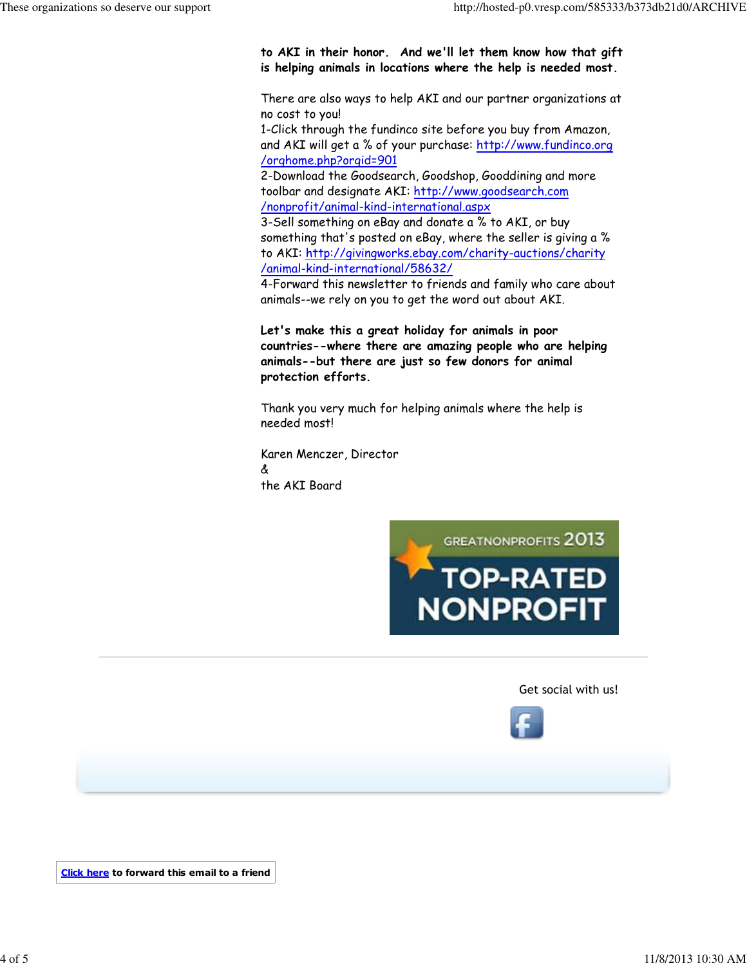to AKI in their honor. And we'll let them know how that gift is helping animals in locations where the help is needed most.

There are also ways to help AKI and our partner organizations at no cost to you!

1-Click through the fundinco site before you buy from Amazon, and AKI will get a % of your purchase: http://www.fundinco.org /orghome.php?orgid=901

2-Download the Goodsearch, Goodshop, Gooddining and more toolbar and designate AKI: http://www.goodsearch.com /nonprofit/animal-kind-international.aspx

3-Sell something on eBay and donate a % to AKI, or buy something that's posted on eBay, where the seller is giving a % to AKI: http://givingworks.ebay.com/charity-auctions/charity /animal-kind-international/58632/

4-Forward this newsletter to friends and family who care about animals--we rely on you to get the word out about AKI.

Let's make this a great holiday for animals in poor countries--where there are amazing people who are helping animals--but there are just so few donors for animal protection efforts.

Thank you very much for helping animals where the help is needed most!

Karen Menczer, Director & the AKI Board



Get social with us!



Click here to forward this email to a friend